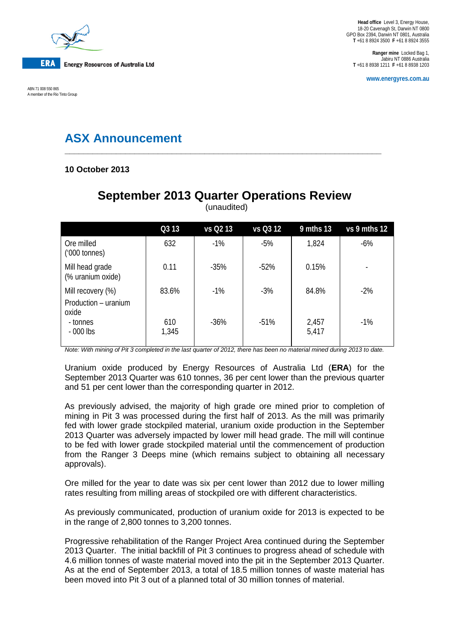

ABN 71 008 550 865 A member of the Rio Tinto Group

**Ranger mine** Locked Bag 1, Jabiru NT 0886 Australia **T** +61 8 8938 1211 **F** +61 8 8938 1203

**www.energyres.com.au**

# **ASX Announcement**

## **10 October 2013**

# **September 2013 Quarter Operations Review**

**\_\_\_\_\_\_\_\_\_\_\_\_\_\_\_\_\_\_\_\_\_\_\_\_\_\_\_\_\_\_\_\_\_\_\_\_\_\_\_\_\_\_\_\_\_\_\_\_\_\_\_\_\_\_\_\_\_\_\_\_\_\_\_\_\_\_\_\_**

|                                                    | Q3 13        | vs Q2 13 | vs Q3 12 | 9 mths 13      | vs 9 mths 12             |
|----------------------------------------------------|--------------|----------|----------|----------------|--------------------------|
| Ore milled<br>$(000 \text{ tonnes})$               | 632          | $-1%$    | $-5%$    | 1,824          | $-6%$                    |
| Mill head grade<br>(% uranium oxide)               | 0.11         | $-35%$   | $-52%$   | 0.15%          | $\overline{\phantom{a}}$ |
| Mill recovery (%)<br>Production - uranium<br>oxide | 83.6%        | $-1\%$   | $-3%$    | 84.8%          | $-2%$                    |
| - tonnes<br>$-000$ lbs                             | 610<br>1,345 | $-36%$   | $-51%$   | 2,457<br>5,417 | $-1%$                    |

(unaudited)

*Note: With mining of Pit 3 completed in the last quarter of 2012, there has been no material mined during 2013 to date.*

Uranium oxide produced by Energy Resources of Australia Ltd (**ERA**) for the September 2013 Quarter was 610 tonnes, 36 per cent lower than the previous quarter and 51 per cent lower than the corresponding quarter in 2012.

As previously advised, the majority of high grade ore mined prior to completion of mining in Pit 3 was processed during the first half of 2013. As the mill was primarily fed with lower grade stockpiled material, uranium oxide production in the September 2013 Quarter was adversely impacted by lower mill head grade. The mill will continue to be fed with lower grade stockpiled material until the commencement of production from the Ranger 3 Deeps mine (which remains subject to obtaining all necessary approvals).

Ore milled for the year to date was six per cent lower than 2012 due to lower milling rates resulting from milling areas of stockpiled ore with different characteristics.

As previously communicated, production of uranium oxide for 2013 is expected to be in the range of 2,800 tonnes to 3,200 tonnes.

Progressive rehabilitation of the Ranger Project Area continued during the September 2013 Quarter. The initial backfill of Pit 3 continues to progress ahead of schedule with 4.6 million tonnes of waste material moved into the pit in the September 2013 Quarter. As at the end of September 2013, a total of 18.5 million tonnes of waste material has been moved into Pit 3 out of a planned total of 30 million tonnes of material.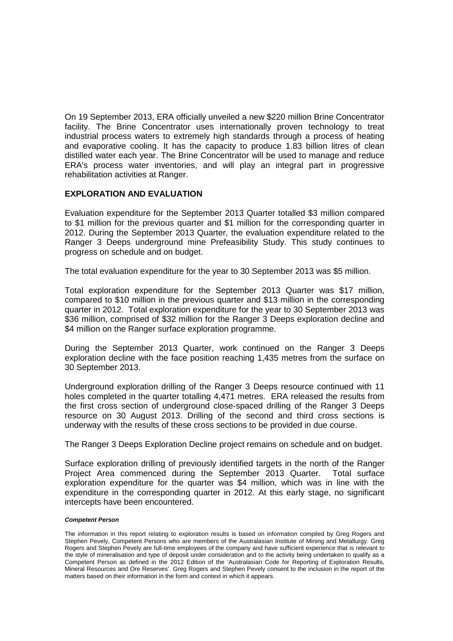On 19 September 2013, ERA officially unveiled a new \$220 million Brine Concentrator facility. The Brine Concentrator uses internationally proven technology to treat industrial process waters to extremely high standards through a process of heating and evaporative cooling. It has the capacity to produce 1.83 billion litres of clean distilled water each year. The Brine Concentrator will be used to manage and reduce ERA's process water inventories, and will play an integral part in progressive rehabilitation activities at Ranger.

## **EXPLORATION AND EVALUATION**

Evaluation expenditure for the September 2013 Quarter totalled \$3 million compared to \$1 million for the previous quarter and \$1 million for the corresponding quarter in 2012. During the September 2013 Quarter, the evaluation expenditure related to the Ranger 3 Deeps underground mine Prefeasibility Study. This study continues to progress on schedule and on budget.

The total evaluation expenditure for the year to 30 September 2013 was \$5 million.

Total exploration expenditure for the September 2013 Quarter was \$17 million, compared to \$10 million in the previous quarter and \$13 million in the corresponding quarter in 2012. Total exploration expenditure for the year to 30 September 2013 was \$36 million, comprised of \$32 million for the Ranger 3 Deeps exploration decline and \$4 million on the Ranger surface exploration programme.

During the September 2013 Quarter, work continued on the Ranger 3 Deeps exploration decline with the face position reaching 1,435 metres from the surface on 30 September 2013.

Underground exploration drilling of the Ranger 3 Deeps resource continued with 11 holes completed in the quarter totalling 4,471 metres. ERA released the results from the first cross section of underground close-spaced drilling of the Ranger 3 Deeps resource on 30 August 2013. Drilling of the second and third cross sections is underway with the results of these cross sections to be provided in due course.

The Ranger 3 Deeps Exploration Decline project remains on schedule and on budget.

Surface exploration drilling of previously identified targets in the north of the Ranger Project Area commenced during the September 2013 Quarter. Total surface exploration expenditure for the quarter was \$4 million, which was in line with the expenditure in the corresponding quarter in 2012. At this early stage, no significant intercepts have been encountered.

#### *Competent Person*

The information in this report relating to exploration results is based on information compiled by Greg Rogers and Stephen Pevely, Competent Persons who are members of the Australasian Institute of Mining and Metallurgy. Greg Rogers and Stephen Pevely are full-time employees of the company and have sufficient experience that is relevant to the style of mineralisation and type of deposit under consideration and to the activity being undertaken to qualify as a Competent Person as defined in the 2012 Edition of the 'Australasian Code for Reporting of Exploration Results, Mineral Resources and Ore Reserves'. Greg Rogers and Stephen Pevely consent to the inclusion in the report of the matters based on their information in the form and context in which it appears.